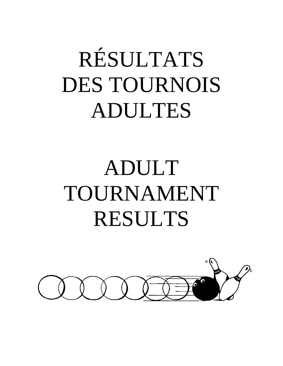# RÉSULTATS DES TOURNOIS ADULTES

## ADULT TOURNAMENT RESULTS

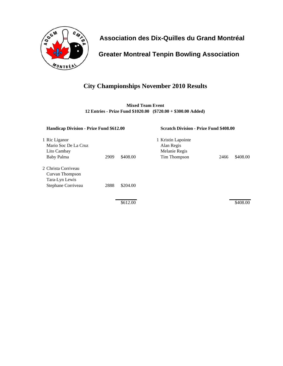

 **Greater Montreal Tenpin Bowling Association**

## **City Championships November 2010 Results**

**Mixed Team Event 12 Entries - Prize Fund \$1020.00 (\$720.00 + \$300.00 Added)**

| Handicap Division - Prize Fund \$612.00                                        |      | <b>Scratch Division - Prize Fund \$408.00</b> |                                                                   |      |          |
|--------------------------------------------------------------------------------|------|-----------------------------------------------|-------------------------------------------------------------------|------|----------|
| 1 Ric Liganor<br>Mario Soc De La Cruz<br>Lito Cambay<br>Baby Palma             | 2909 | \$408.00                                      | 1 Kristin Lapointe<br>Alan Regis<br>Melanie Regis<br>Tim Thompson | 2466 | \$408.00 |
| 2 Christa Corriveau<br>Curvan Thompson<br>Tara-Lyn Lewis<br>Stephane Corriveau | 2888 | \$204.00                                      |                                                                   |      |          |
|                                                                                |      | \$612.00                                      |                                                                   |      | \$408.00 |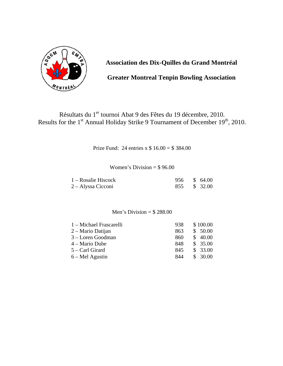

**Greater Montreal Tenpin Bowling Association** 

## Résultats du 1<sup>er</sup> tournoi Abat 9 des Fêtes du 19 décembre, 2010. Results for the 1<sup>st</sup> Annual Holiday Strike 9 Tournament of December 19<sup>th</sup>, 2010.

Prize Fund: 24 entries x \$ 16.00 = \$ 384.00

#### Women's Division  $= $96.00$

| $1 - Rosalie Hiscock$ | 956 \$ 64.00 |  |
|-----------------------|--------------|--|
| 2 – Alyssa Cicconi    | 855 \$ 32.00 |  |

#### Men's Division  $=$  \$288.00

| 1 – Michael Frascarelli | 938 | \$100.00 |
|-------------------------|-----|----------|
| 2 – Mario Datijan       | 863 | \$50.00  |
| 3 – Loren Goodman       | 860 | \$40.00  |
| $4 -$ Mario Dube        | 848 | \$35.00  |
| $5 -$ Carl Girard       | 845 | \$33.00  |
| $6 - Mel$ Agustin       | 844 | \$30.00  |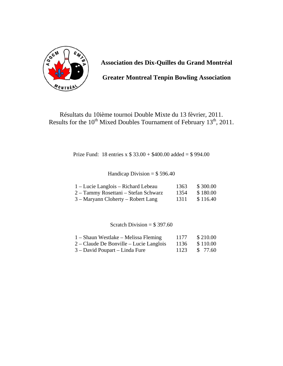

**Greater Montreal Tenpin Bowling Association** 

Résultats du 10ième tournoi Double Mixte du 13 fèvrier, 2011. Results for the 10<sup>th</sup> Mixed Doubles Tournament of February 13<sup>th</sup>, 2011.

Prize Fund: 18 entries x \$ 33.00 + \$400.00 added = \$ 994.00

Handicap Division =  $$596.40$ 

| 1 – Lucie Langlois – Richard Lebeau  | 1363 | \$300.00 |
|--------------------------------------|------|----------|
| 2 – Tammy Rosettani – Stefan Schwarz | 1354 | \$180.00 |
| 3 – Maryann Cloherty – Robert Lang   | 1311 | \$116.40 |

Scratch Division =  $$397.60$ 

| $1 -$ Shaun Westlake – Melissa Fleming    | 1177 | \$210.00 |
|-------------------------------------------|------|----------|
| $2$ – Claude De Bonville – Lucie Langlois | 1136 | \$110.00 |
| 3 – David Poupart – Linda Fure            | 1123 | \$ 77.60 |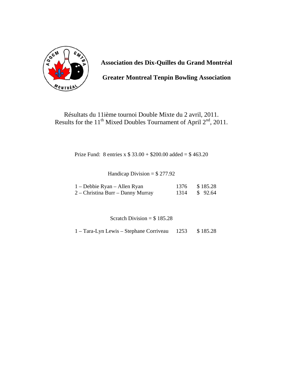

**Greater Montreal Tenpin Bowling Association** 

### Résultats du 11ième tournoi Double Mixte du 2 avril, 2011. Results for the  $11<sup>th</sup> Mixed Doubles Tournament of April  $2<sup>nd</sup>$ , 2011.$

Prize Fund: 8 entries x \$ 33.00 + \$200.00 added = \$ 463.20

Handicap Division =  $$277.92$ 

| 1 – Debbie Ryan – Allen Ryan      | 1376 \$185.28 |
|-----------------------------------|---------------|
| 2 – Christina Burr – Danny Murray | 1314 \$ 92.64 |

Scratch Division =  $$185.28$ 

1 – Tara-Lyn Lewis – Stephane Corriveau 1253 \$ 185.28